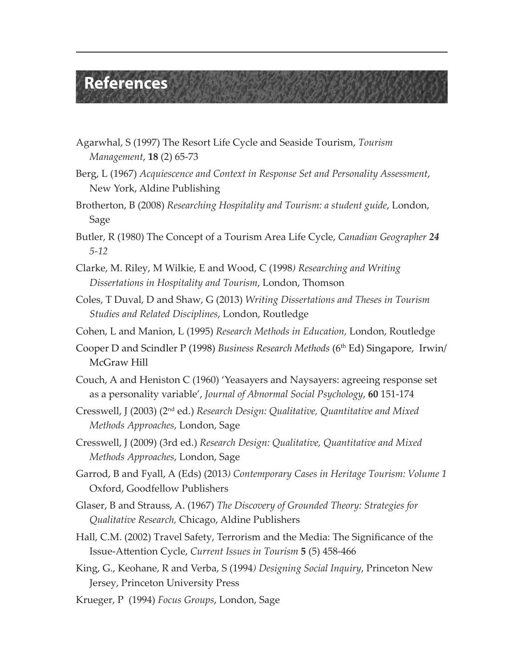## **References**

- Agarwhal, S (1997) The Resort Life Cycle and Seaside Tourism, *Tourism Management*, **18** (2) 65-73
- Berg, L (1967) *Acquiescence and Context in Response Set and Personality Assessment*, New York, Aldine Publishing
- Brotherton, B (2008) *Researching Hospitality and Tourism: a student guide*, London, Sage
- Butler, R (1980) The Concept of a Tourism Area Life Cycle, *Canadian Geographer 24 5-12*
- Clarke, M. Riley, M Wilkie, E and Wood, C (1998*) Researching and Writing Dissertations in Hospitality and Tourism*, London, Thomson
- Coles, T Duval, D and Shaw, G (2013) *Writing Dissertations and Theses in Tourism Studies and Related Disciplines*, London, Routledge
- Cohen, L and Manion, L (1995) *Research Methods in Education,* London, Routledge
- Cooper D and Scindler P (1998) *Business Research Methods* (6th Ed) Singapore, Irwin/ McGraw Hill
- Couch, A and Heniston C (1960) 'Yeasayers and Naysayers: agreeing response set as a personality variable', *Journal of Abnormal Social Psychology*, **60** 151-174
- Cresswell, J (2003) (2nd ed.) *Research Design: Qualitative, Quantitative and Mixed Methods Approaches*, London, Sage
- Cresswell, J (2009) (3rd ed.) *Research Design: Qualitative, Quantitative and Mixed Methods Approaches*, London, Sage
- Garrod, B and Fyall, A (Eds) (2013*) Contemporary Cases in Heritage Tourism: Volume 1*  Oxford, Goodfellow Publishers
- Glaser, B and Strauss, A. (1967) *The Discovery of Grounded Theory: Strategies for Qualitative Research,* Chicago, Aldine Publishers
- Hall, C.M. (2002) Travel Safety, Terrorism and the Media: The Significance of the Issue-Attention Cycle, *Current Issues in Tourism* **5** (5) 458-466
- King, G., Keohane, R and Verba, S (1994*) Designing Social Inquiry*, Princeton New Jersey, Princeton University Press
- Krueger, P (1994) *Focus Groups*, London, Sage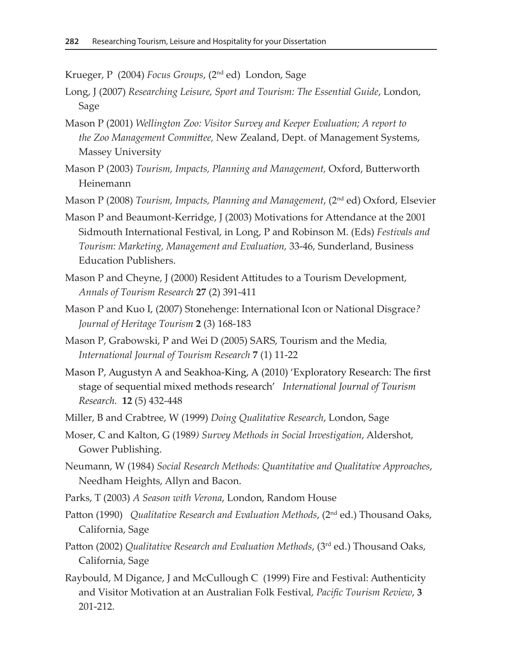Krueger, P (2004) *Focus Groups*, (2nd ed) London, Sage

- Long, J (2007) *Researching Leisure, Sport and Tourism: The Essential Guide*, London, Sage
- Mason P (2001) *Wellington Zoo: Visitor Survey and Keeper Evaluation; A report to the Zoo Management Committee,* New Zealand, Dept. of Management Systems, Massey University
- Mason P (2003) *Tourism, Impacts, Planning and Management,* Oxford, Butterworth Heinemann
- Mason P (2008) *Tourism, Impacts, Planning and Management*, (2nd ed) Oxford, Elsevier
- Mason P and Beaumont-Kerridge, J (2003) Motivations for Attendance at the 2001 Sidmouth International Festival, in Long, P and Robinson M. (Eds) *Festivals and Tourism: Marketing, Management and Evaluation,* 33-46, Sunderland, Business Education Publishers.
- Mason P and Cheyne, J (2000) Resident Attitudes to a Tourism Development, *Annals of Tourism Research* **27** (2) 391-411
- Mason P and Kuo I, (2007) Stonehenge: International Icon or National Disgrace*? Journal of Heritage Tourism* **2** (3) 168-183
- Mason P, Grabowski, P and Wei D (2005) SARS, Tourism and the Media*, International Journal of Tourism Research* **7** (1) 11-22
- Mason P, Augustyn A and Seakhoa-King, A (2010) 'Exploratory Research: The first stage of sequential mixed methods research' *International Journal of Tourism Research.* **12** (5) 432-448
- Miller, B and Crabtree, W (1999) *Doing Qualitative Research*, London, Sage
- Moser, C and Kalton, G (1989*) Survey Methods in Social Investigation*, Aldershot, Gower Publishing.
- Neumann, W (1984) *Social Research Methods: Quantitative and Qualitative Approaches*, Needham Heights, Allyn and Bacon.
- Parks, T (2003) *A Season with Verona*, London, Random House
- Patton (1990) *Qualitative Research and Evaluation Methods*, (2nd ed.) Thousand Oaks, California, Sage
- Patton (2002) *Qualitative Research and Evaluation Methods*, (3rd ed.) Thousand Oaks, California, Sage
- Raybould, M Digance, J and McCullough C (1999) Fire and Festival: Authenticity and Visitor Motivation at an Australian Folk Festival, *Pacific Tourism Review*, **3** 201-212.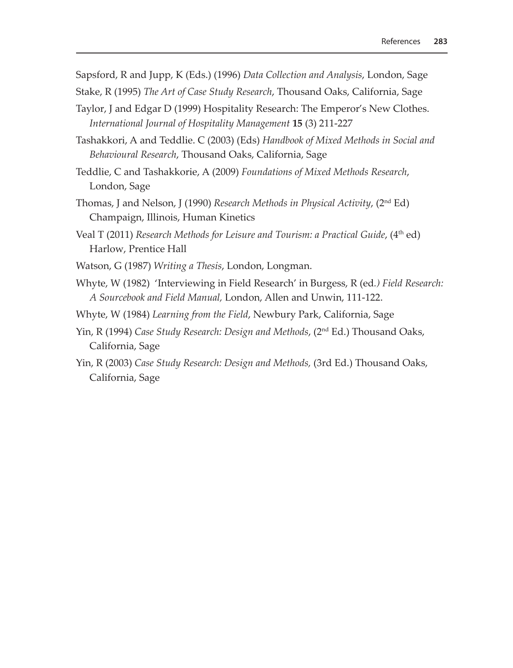Sapsford, R and Jupp, K (Eds.) (1996) *Data Collection and Analysis*, London, Sage Stake, R (1995) *The Art of Case Study Research*, Thousand Oaks, California, Sage

Taylor, J and Edgar D (1999) Hospitality Research: The Emperor's New Clothes. *International Journal of Hospitality Management* **15** (3) 211-227

Tashakkori, A and Teddlie. C (2003) (Eds) *Handbook of Mixed Methods in Social and Behavioural Research*, Thousand Oaks, California, Sage

- Teddlie, C and Tashakkorie, A (2009) *Foundations of Mixed Methods Research*, London, Sage
- Thomas, J and Nelson, J (1990) *Research Methods in Physical Activity*, (2nd Ed) Champaign, Illinois, Human Kinetics
- Veal T (2011) *Research Methods for Leisure and Tourism: a Practical Guide*, (4<sup>th</sup> ed) Harlow, Prentice Hall
- Watson, G (1987) *Writing a Thesis*, London, Longman.
- Whyte, W (1982) 'Interviewing in Field Research' in Burgess, R (ed*.) Field Research: A Sourcebook and Field Manual,* London, Allen and Unwin, 111-122.
- Whyte, W (1984) *Learning from the Field*, Newbury Park, California, Sage
- Yin, R (1994) *Case Study Research: Design and Methods*, (2nd Ed.) Thousand Oaks, California, Sage
- Yin, R (2003) *Case Study Research: Design and Methods,* (3rd Ed.) Thousand Oaks, California, Sage